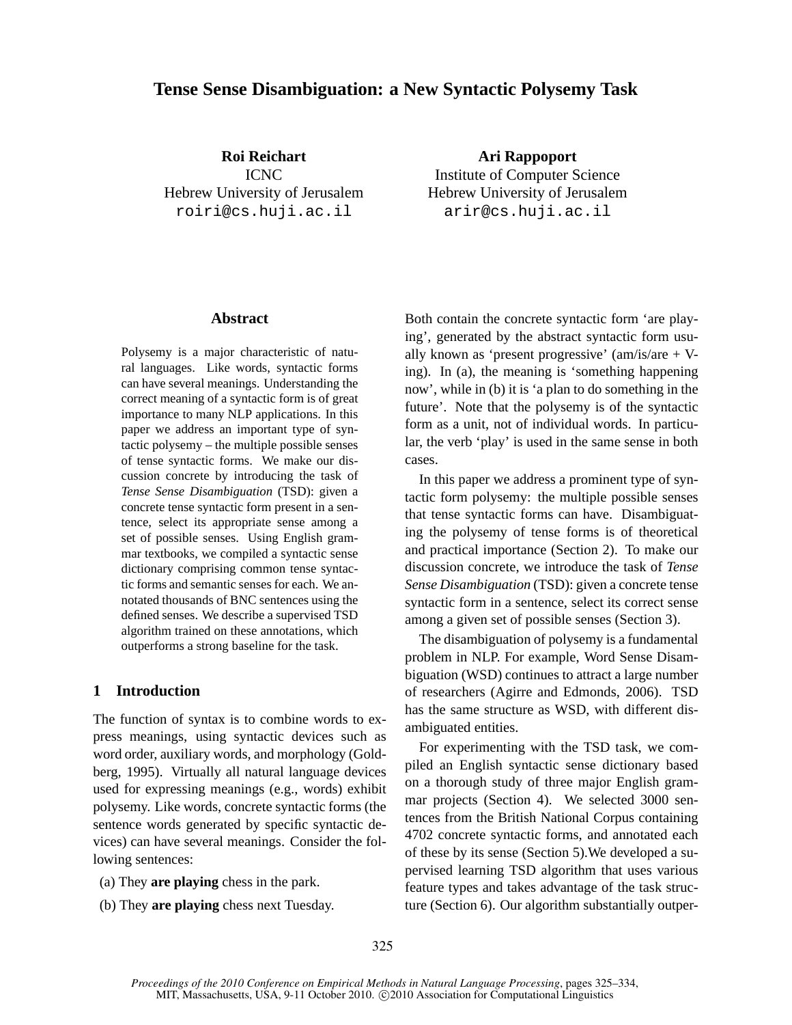# **Tense Sense Disambiguation: a New Syntactic Polysemy Task**

**Roi Reichart** ICNC Hebrew University of Jerusalem roiri@cs.huji.ac.il

**Ari Rappoport** Institute of Computer Science Hebrew University of Jerusalem arir@cs.huji.ac.il

# **Abstract**

Polysemy is a major characteristic of natural languages. Like words, syntactic forms can have several meanings. Understanding the correct meaning of a syntactic form is of great importance to many NLP applications. In this paper we address an important type of syntactic polysemy – the multiple possible senses of tense syntactic forms. We make our discussion concrete by introducing the task of *Tense Sense Disambiguation* (TSD): given a concrete tense syntactic form present in a sentence, select its appropriate sense among a set of possible senses. Using English grammar textbooks, we compiled a syntactic sense dictionary comprising common tense syntactic forms and semantic senses for each. We annotated thousands of BNC sentences using the defined senses. We describe a supervised TSD algorithm trained on these annotations, which outperforms a strong baseline for the task.

# **1 Introduction**

The function of syntax is to combine words to express meanings, using syntactic devices such as word order, auxiliary words, and morphology (Goldberg, 1995). Virtually all natural language devices used for expressing meanings (e.g., words) exhibit polysemy. Like words, concrete syntactic forms (the sentence words generated by specific syntactic devices) can have several meanings. Consider the following sentences:

- (a) They **are playing** chess in the park.
- (b) They **are playing** chess next Tuesday.

Both contain the concrete syntactic form 'are playing', generated by the abstract syntactic form usually known as 'present progressive' (am/is/are + Ving). In (a), the meaning is 'something happening now', while in (b) it is 'a plan to do something in the future'. Note that the polysemy is of the syntactic form as a unit, not of individual words. In particular, the verb 'play' is used in the same sense in both cases.

In this paper we address a prominent type of syntactic form polysemy: the multiple possible senses that tense syntactic forms can have. Disambiguating the polysemy of tense forms is of theoretical and practical importance (Section 2). To make our discussion concrete, we introduce the task of *Tense Sense Disambiguation* (TSD): given a concrete tense syntactic form in a sentence, select its correct sense among a given set of possible senses (Section 3).

The disambiguation of polysemy is a fundamental problem in NLP. For example, Word Sense Disambiguation (WSD) continues to attract a large number of researchers (Agirre and Edmonds, 2006). TSD has the same structure as WSD, with different disambiguated entities.

For experimenting with the TSD task, we compiled an English syntactic sense dictionary based on a thorough study of three major English grammar projects (Section 4). We selected 3000 sentences from the British National Corpus containing 4702 concrete syntactic forms, and annotated each of these by its sense (Section 5).We developed a supervised learning TSD algorithm that uses various feature types and takes advantage of the task structure (Section 6). Our algorithm substantially outper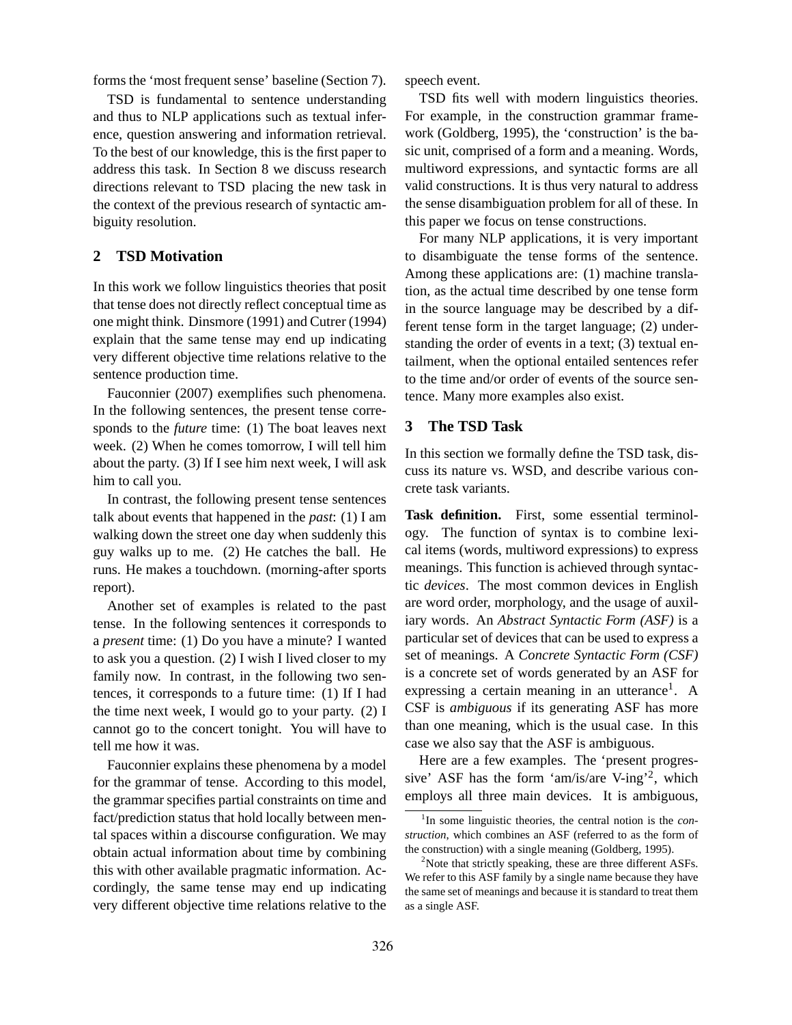forms the 'most frequent sense' baseline (Section 7).

TSD is fundamental to sentence understanding and thus to NLP applications such as textual inference, question answering and information retrieval. To the best of our knowledge, this is the first paper to address this task. In Section 8 we discuss research directions relevant to TSD placing the new task in the context of the previous research of syntactic ambiguity resolution.

# **2 TSD Motivation**

In this work we follow linguistics theories that posit that tense does not directly reflect conceptual time as one might think. Dinsmore (1991) and Cutrer (1994) explain that the same tense may end up indicating very different objective time relations relative to the sentence production time.

Fauconnier (2007) exemplifies such phenomena. In the following sentences, the present tense corresponds to the *future* time: (1) The boat leaves next week. (2) When he comes tomorrow, I will tell him about the party. (3) If I see him next week, I will ask him to call you.

In contrast, the following present tense sentences talk about events that happened in the *past*: (1) I am walking down the street one day when suddenly this guy walks up to me. (2) He catches the ball. He runs. He makes a touchdown. (morning-after sports report).

Another set of examples is related to the past tense. In the following sentences it corresponds to a *present* time: (1) Do you have a minute? I wanted to ask you a question. (2) I wish I lived closer to my family now. In contrast, in the following two sentences, it corresponds to a future time: (1) If I had the time next week, I would go to your party. (2) I cannot go to the concert tonight. You will have to tell me how it was.

Fauconnier explains these phenomena by a model for the grammar of tense. According to this model, the grammar specifies partial constraints on time and fact/prediction status that hold locally between mental spaces within a discourse configuration. We may obtain actual information about time by combining this with other available pragmatic information. Accordingly, the same tense may end up indicating very different objective time relations relative to the

speech event.

TSD fits well with modern linguistics theories. For example, in the construction grammar framework (Goldberg, 1995), the 'construction' is the basic unit, comprised of a form and a meaning. Words, multiword expressions, and syntactic forms are all valid constructions. It is thus very natural to address the sense disambiguation problem for all of these. In this paper we focus on tense constructions.

For many NLP applications, it is very important to disambiguate the tense forms of the sentence. Among these applications are: (1) machine translation, as the actual time described by one tense form in the source language may be described by a different tense form in the target language; (2) understanding the order of events in a text; (3) textual entailment, when the optional entailed sentences refer to the time and/or order of events of the source sentence. Many more examples also exist.

### **3 The TSD Task**

In this section we formally define the TSD task, discuss its nature vs. WSD, and describe various concrete task variants.

**Task definition.** First, some essential terminology. The function of syntax is to combine lexical items (words, multiword expressions) to express meanings. This function is achieved through syntactic *devices*. The most common devices in English are word order, morphology, and the usage of auxiliary words. An *Abstract Syntactic Form (ASF)* is a particular set of devices that can be used to express a set of meanings. A *Concrete Syntactic Form (CSF)* is a concrete set of words generated by an ASF for expressing a certain meaning in an utterance<sup>1</sup>. A CSF is *ambiguous* if its generating ASF has more than one meaning, which is the usual case. In this case we also say that the ASF is ambiguous.

Here are a few examples. The 'present progressive' ASF has the form 'am/is/are V-ing'<sup>2</sup> , which employs all three main devices. It is ambiguous,

<sup>1</sup> In some linguistic theories, the central notion is the *construction*, which combines an ASF (referred to as the form of the construction) with a single meaning (Goldberg, 1995).

<sup>&</sup>lt;sup>2</sup>Note that strictly speaking, these are three different ASFs. We refer to this ASF family by a single name because they have the same set of meanings and because it is standard to treat them as a single ASF.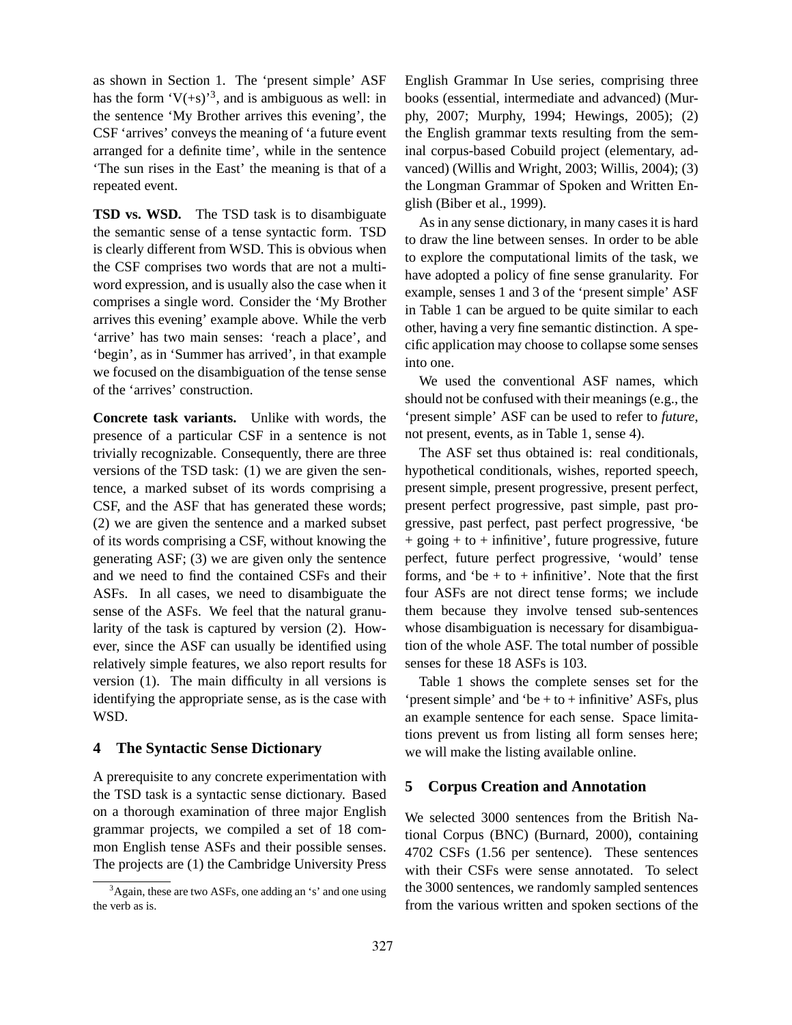as shown in Section 1. The 'present simple' ASF has the form  $V(+s)$ <sup>3</sup>, and is ambiguous as well: in the sentence 'My Brother arrives this evening', the CSF 'arrives' conveys the meaning of 'a future event arranged for a definite time', while in the sentence 'The sun rises in the East' the meaning is that of a repeated event.

**TSD vs. WSD.** The TSD task is to disambiguate the semantic sense of a tense syntactic form. TSD is clearly different from WSD. This is obvious when the CSF comprises two words that are not a multiword expression, and is usually also the case when it comprises a single word. Consider the 'My Brother arrives this evening' example above. While the verb 'arrive' has two main senses: 'reach a place', and 'begin', as in 'Summer has arrived', in that example we focused on the disambiguation of the tense sense of the 'arrives' construction.

**Concrete task variants.** Unlike with words, the presence of a particular CSF in a sentence is not trivially recognizable. Consequently, there are three versions of the TSD task: (1) we are given the sentence, a marked subset of its words comprising a CSF, and the ASF that has generated these words; (2) we are given the sentence and a marked subset of its words comprising a CSF, without knowing the generating ASF; (3) we are given only the sentence and we need to find the contained CSFs and their ASFs. In all cases, we need to disambiguate the sense of the ASFs. We feel that the natural granularity of the task is captured by version (2). However, since the ASF can usually be identified using relatively simple features, we also report results for version (1). The main difficulty in all versions is identifying the appropriate sense, as is the case with WSD.

# **4 The Syntactic Sense Dictionary**

A prerequisite to any concrete experimentation with the TSD task is a syntactic sense dictionary. Based on a thorough examination of three major English grammar projects, we compiled a set of 18 common English tense ASFs and their possible senses. The projects are (1) the Cambridge University Press

English Grammar In Use series, comprising three books (essential, intermediate and advanced) (Murphy, 2007; Murphy, 1994; Hewings, 2005); (2) the English grammar texts resulting from the seminal corpus-based Cobuild project (elementary, advanced) (Willis and Wright, 2003; Willis, 2004); (3) the Longman Grammar of Spoken and Written English (Biber et al., 1999).

As in any sense dictionary, in many cases it is hard to draw the line between senses. In order to be able to explore the computational limits of the task, we have adopted a policy of fine sense granularity. For example, senses 1 and 3 of the 'present simple' ASF in Table 1 can be argued to be quite similar to each other, having a very fine semantic distinction. A specific application may choose to collapse some senses into one.

We used the conventional ASF names, which should not be confused with their meanings (e.g., the 'present simple' ASF can be used to refer to *future*, not present, events, as in Table 1, sense 4).

The ASF set thus obtained is: real conditionals, hypothetical conditionals, wishes, reported speech, present simple, present progressive, present perfect, present perfect progressive, past simple, past progressive, past perfect, past perfect progressive, 'be + going + to + infinitive', future progressive, future perfect, future perfect progressive, 'would' tense forms, and 'be  $+$  to  $+$  infinitive'. Note that the first four ASFs are not direct tense forms; we include them because they involve tensed sub-sentences whose disambiguation is necessary for disambiguation of the whole ASF. The total number of possible senses for these 18 ASFs is 103.

Table 1 shows the complete senses set for the 'present simple' and 'be + to + infinitive' ASFs, plus an example sentence for each sense. Space limitations prevent us from listing all form senses here; we will make the listing available online.

# **5 Corpus Creation and Annotation**

We selected 3000 sentences from the British National Corpus (BNC) (Burnard, 2000), containing 4702 CSFs (1.56 per sentence). These sentences with their CSFs were sense annotated. To select the 3000 sentences, we randomly sampled sentences from the various written and spoken sections of the

<sup>3</sup>Again, these are two ASFs, one adding an 's' and one using the verb as is.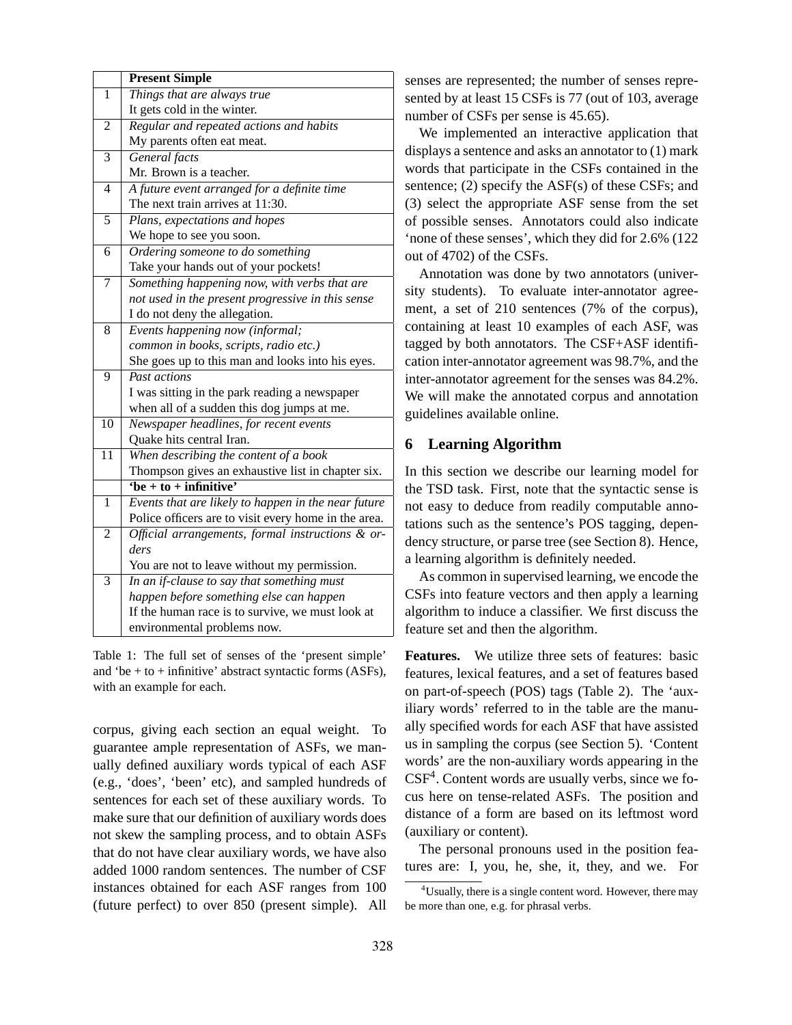|                 | <b>Present Simple</b>                                 |  |  |  |  |
|-----------------|-------------------------------------------------------|--|--|--|--|
| $\mathbf{1}$    | Things that are always true                           |  |  |  |  |
|                 | It gets cold in the winter.                           |  |  |  |  |
| $\overline{c}$  | Regular and repeated actions and habits               |  |  |  |  |
|                 | My parents often eat meat.                            |  |  |  |  |
| 3               | General facts                                         |  |  |  |  |
|                 | Mr. Brown is a teacher.                               |  |  |  |  |
| $\overline{4}$  | A future event arranged for a definite time           |  |  |  |  |
|                 | The next train arrives at 11:30.                      |  |  |  |  |
| $\overline{5}$  | Plans, expectations and hopes                         |  |  |  |  |
|                 | We hope to see you soon.                              |  |  |  |  |
| 6               | Ordering someone to do something                      |  |  |  |  |
|                 | Take your hands out of your pockets!                  |  |  |  |  |
| $\overline{7}$  | Something happening now, with verbs that are          |  |  |  |  |
|                 | not used in the present progressive in this sense     |  |  |  |  |
|                 | I do not deny the allegation.                         |  |  |  |  |
| 8               | Events happening now (informal;                       |  |  |  |  |
|                 | common in books, scripts, radio etc.)                 |  |  |  |  |
|                 | She goes up to this man and looks into his eyes.      |  |  |  |  |
| 9               | Past actions                                          |  |  |  |  |
|                 | I was sitting in the park reading a newspaper         |  |  |  |  |
|                 | when all of a sudden this dog jumps at me.            |  |  |  |  |
| $\overline{10}$ | Newspaper headlines, for recent events                |  |  |  |  |
|                 | Quake hits central Iran.                              |  |  |  |  |
| $\overline{11}$ | When describing the content of a book                 |  |  |  |  |
|                 | Thompson gives an exhaustive list in chapter six.     |  |  |  |  |
|                 | $\overline{\text{6e} + \text{to} + \text{infinitye}}$ |  |  |  |  |
| 1               | Events that are likely to happen in the near future   |  |  |  |  |
|                 | Police officers are to visit every home in the area.  |  |  |  |  |
| 2               | Official arrangements, formal instructions & or-      |  |  |  |  |
|                 | ders                                                  |  |  |  |  |
|                 | You are not to leave without my permission.           |  |  |  |  |
| 3               | In an if-clause to say that something must            |  |  |  |  |
|                 | happen before something else can happen               |  |  |  |  |
|                 | If the human race is to survive, we must look at      |  |  |  |  |
|                 | environmental problems now.                           |  |  |  |  |

Table 1: The full set of senses of the 'present simple' and 'be  $+$  to  $+$  infinitive' abstract syntactic forms (ASFs), with an example for each.

corpus, giving each section an equal weight. To guarantee ample representation of ASFs, we manually defined auxiliary words typical of each ASF (e.g., 'does', 'been' etc), and sampled hundreds of sentences for each set of these auxiliary words. To make sure that our definition of auxiliary words does not skew the sampling process, and to obtain ASFs that do not have clear auxiliary words, we have also added 1000 random sentences. The number of CSF instances obtained for each ASF ranges from 100 (future perfect) to over 850 (present simple). All

senses are represented; the number of senses represented by at least 15 CSFs is 77 (out of 103, average number of CSFs per sense is 45.65).

We implemented an interactive application that displays a sentence and asks an annotator to (1) mark words that participate in the CSFs contained in the sentence; (2) specify the ASF(s) of these CSFs; and (3) select the appropriate ASF sense from the set of possible senses. Annotators could also indicate 'none of these senses', which they did for 2.6% (122 out of 4702) of the CSFs.

Annotation was done by two annotators (university students). To evaluate inter-annotator agreement, a set of 210 sentences (7% of the corpus), containing at least 10 examples of each ASF, was tagged by both annotators. The CSF+ASF identification inter-annotator agreement was 98.7%, and the inter-annotator agreement for the senses was 84.2%. We will make the annotated corpus and annotation guidelines available online.

# **6 Learning Algorithm**

In this section we describe our learning model for the TSD task. First, note that the syntactic sense is not easy to deduce from readily computable annotations such as the sentence's POS tagging, dependency structure, or parse tree (see Section 8). Hence, a learning algorithm is definitely needed.

As common in supervised learning, we encode the CSFs into feature vectors and then apply a learning algorithm to induce a classifier. We first discuss the feature set and then the algorithm.

**Features.** We utilize three sets of features: basic features, lexical features, and a set of features based on part-of-speech (POS) tags (Table 2). The 'auxiliary words' referred to in the table are the manually specified words for each ASF that have assisted us in sampling the corpus (see Section 5). 'Content words' are the non-auxiliary words appearing in the  $CSF<sup>4</sup>$ . Content words are usually verbs, since we focus here on tense-related ASFs. The position and distance of a form are based on its leftmost word (auxiliary or content).

The personal pronouns used in the position features are: I, you, he, she, it, they, and we. For

<sup>&</sup>lt;sup>4</sup>Usually, there is a single content word. However, there may be more than one, e.g. for phrasal verbs.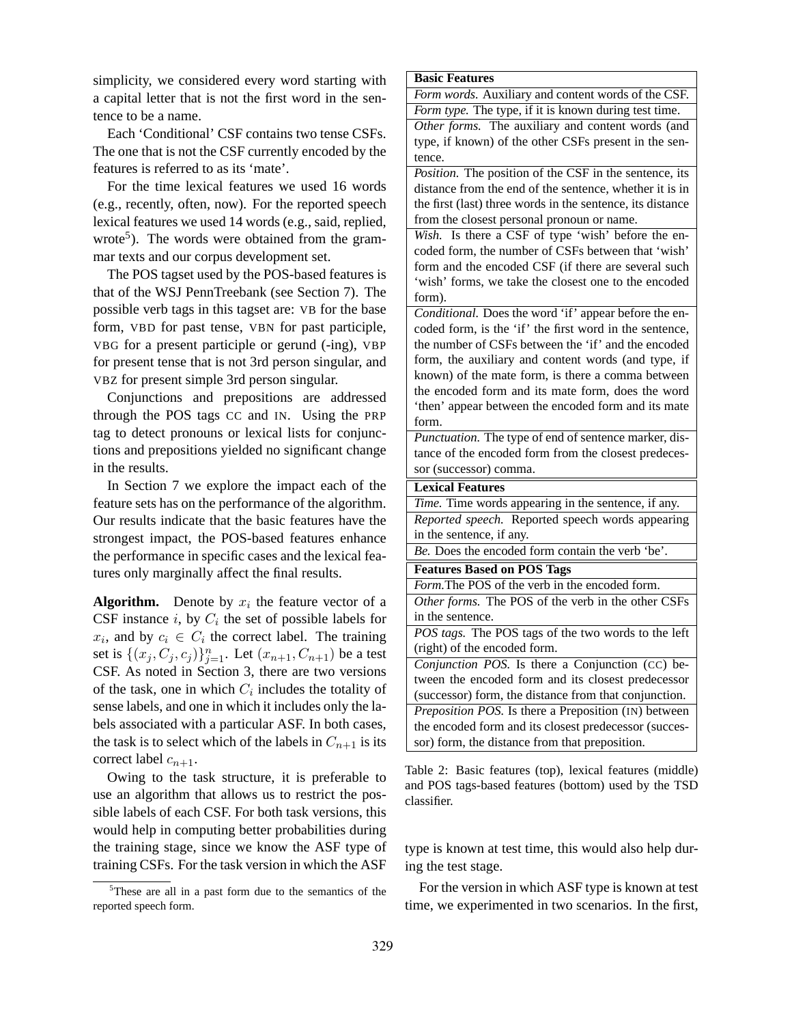simplicity, we considered every word starting with a capital letter that is not the first word in the sentence to be a name.

Each 'Conditional' CSF contains two tense CSFs. The one that is not the CSF currently encoded by the features is referred to as its 'mate'.

For the time lexical features we used 16 words (e.g., recently, often, now). For the reported speech lexical features we used 14 words (e.g., said, replied, wrote<sup>5</sup>). The words were obtained from the grammar texts and our corpus development set.

The POS tagset used by the POS-based features is that of the WSJ PennTreebank (see Section 7). The possible verb tags in this tagset are: VB for the base form, VBD for past tense, VBN for past participle, VBG for a present participle or gerund (-ing), VBP for present tense that is not 3rd person singular, and VBZ for present simple 3rd person singular.

Conjunctions and prepositions are addressed through the POS tags CC and IN. Using the PRP tag to detect pronouns or lexical lists for conjunctions and prepositions yielded no significant change in the results.

In Section 7 we explore the impact each of the feature sets has on the performance of the algorithm. Our results indicate that the basic features have the strongest impact, the POS-based features enhance the performance in specific cases and the lexical features only marginally affect the final results.

**Algorithm.** Denote by  $x_i$  the feature vector of a CSF instance  $i$ , by  $C_i$  the set of possible labels for  $x_i$ , and by  $c_i \in C_i$  the correct label. The training set is  $\{(x_j, C_j, c_j)\}_{j=1}^n$ . Let  $(x_{n+1}, C_{n+1})$  be a test CSF. As noted in Section 3, there are two versions of the task, one in which  $C_i$  includes the totality of sense labels, and one in which it includes only the labels associated with a particular ASF. In both cases, the task is to select which of the labels in  $C_{n+1}$  is its correct label  $c_{n+1}$ .

Owing to the task structure, it is preferable to use an algorithm that allows us to restrict the possible labels of each CSF. For both task versions, this would help in computing better probabilities during the training stage, since we know the ASF type of training CSFs. For the task version in which the ASF

<sup>5</sup>These are all in a past form due to the semantics of the reported speech form.

#### **Basic Features**

*Form words.* Auxiliary and content words of the CSF. *Form type.* The type, if it is known during test time.

*Other forms.* The auxiliary and content words (and type, if known) of the other CSFs present in the sentence.

*Position.* The position of the CSF in the sentence, its distance from the end of the sentence, whether it is in the first (last) three words in the sentence, its distance from the closest personal pronoun or name.

*Wish.* Is there a CSF of type 'wish' before the encoded form, the number of CSFs between that 'wish' form and the encoded CSF (if there are several such 'wish' forms, we take the closest one to the encoded form).

*Conditional.* Does the word 'if' appear before the encoded form, is the 'if' the first word in the sentence, the number of CSFs between the 'if' and the encoded form, the auxiliary and content words (and type, if known) of the mate form, is there a comma between the encoded form and its mate form, does the word 'then' appear between the encoded form and its mate form.

*Punctuation.* The type of end of sentence marker, distance of the encoded form from the closest predecessor (successor) comma.

### **Lexical Features**

*Time.* Time words appearing in the sentence, if any. *Reported speech.* Reported speech words appearing

in the sentence, if any.

*Be.* Does the encoded form contain the verb 'be'.

#### **Features Based on POS Tags**

*Form.*The POS of the verb in the encoded form.

*Other forms.* The POS of the verb in the other CSFs in the sentence.

*POS tags.* The POS tags of the two words to the left (right) of the encoded form.

*Conjunction POS.* Is there a Conjunction (CC) between the encoded form and its closest predecessor (successor) form, the distance from that conjunction. *Preposition POS.* Is there a Preposition (IN) between the encoded form and its closest predecessor (successor) form, the distance from that preposition.

Table 2: Basic features (top), lexical features (middle) and POS tags-based features (bottom) used by the TSD classifier.

type is known at test time, this would also help during the test stage.

For the version in which ASF type is known at test time, we experimented in two scenarios. In the first,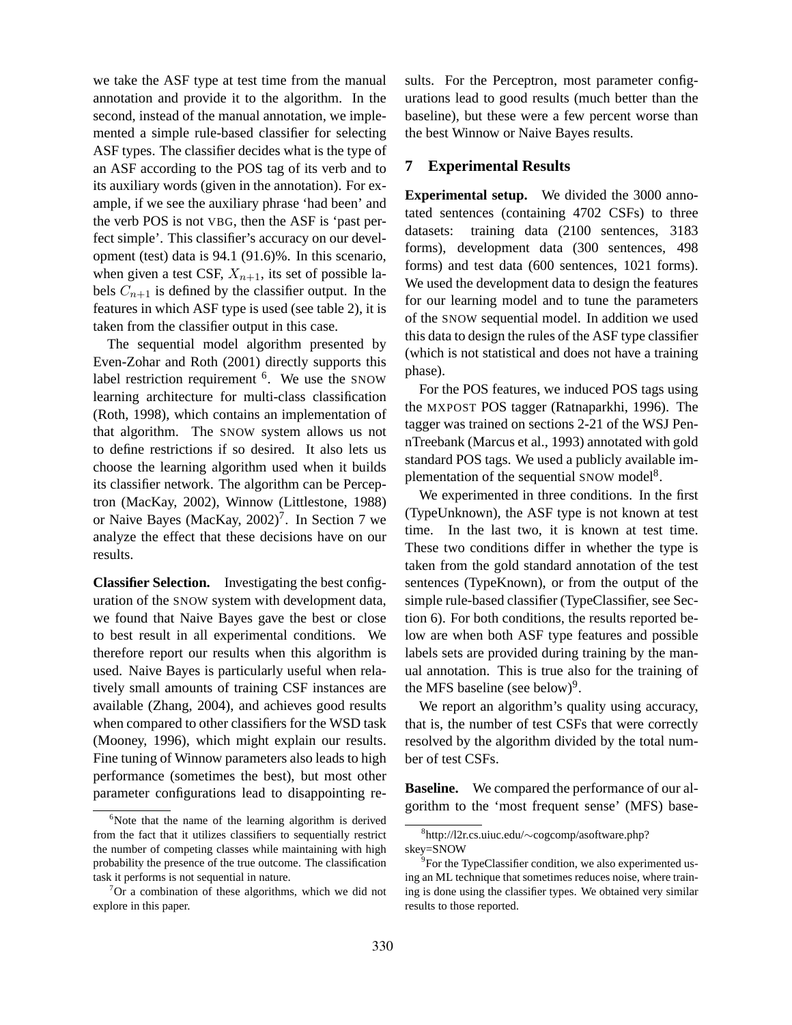we take the ASF type at test time from the manual annotation and provide it to the algorithm. In the second, instead of the manual annotation, we implemented a simple rule-based classifier for selecting ASF types. The classifier decides what is the type of an ASF according to the POS tag of its verb and to its auxiliary words (given in the annotation). For example, if we see the auxiliary phrase 'had been' and the verb POS is not VBG, then the ASF is 'past perfect simple'. This classifier's accuracy on our development (test) data is 94.1 (91.6)%. In this scenario, when given a test CSF,  $X_{n+1}$ , its set of possible labels  $C_{n+1}$  is defined by the classifier output. In the features in which ASF type is used (see table 2), it is taken from the classifier output in this case.

The sequential model algorithm presented by Even-Zohar and Roth (2001) directly supports this label restriction requirement <sup>6</sup>. We use the SNOW learning architecture for multi-class classification (Roth, 1998), which contains an implementation of that algorithm. The SNOW system allows us not to define restrictions if so desired. It also lets us choose the learning algorithm used when it builds its classifier network. The algorithm can be Perceptron (MacKay, 2002), Winnow (Littlestone, 1988) or Naive Bayes (MacKay, 2002)<sup>7</sup>. In Section 7 we analyze the effect that these decisions have on our results.

**Classifier Selection.** Investigating the best configuration of the SNOW system with development data, we found that Naive Bayes gave the best or close to best result in all experimental conditions. We therefore report our results when this algorithm is used. Naive Bayes is particularly useful when relatively small amounts of training CSF instances are available (Zhang, 2004), and achieves good results when compared to other classifiers for the WSD task (Mooney, 1996), which might explain our results. Fine tuning of Winnow parameters also leads to high performance (sometimes the best), but most other parameter configurations lead to disappointing results. For the Perceptron, most parameter configurations lead to good results (much better than the baseline), but these were a few percent worse than the best Winnow or Naive Bayes results.

### **7 Experimental Results**

**Experimental setup.** We divided the 3000 annotated sentences (containing 4702 CSFs) to three datasets: training data (2100 sentences, 3183 forms), development data (300 sentences, 498 forms) and test data (600 sentences, 1021 forms). We used the development data to design the features for our learning model and to tune the parameters of the SNOW sequential model. In addition we used this data to design the rules of the ASF type classifier (which is not statistical and does not have a training phase).

For the POS features, we induced POS tags using the MXPOST POS tagger (Ratnaparkhi, 1996). The tagger was trained on sections 2-21 of the WSJ PennTreebank (Marcus et al., 1993) annotated with gold standard POS tags. We used a publicly available implementation of the sequential SNOW model<sup>8</sup>.

We experimented in three conditions. In the first (TypeUnknown), the ASF type is not known at test time. In the last two, it is known at test time. These two conditions differ in whether the type is taken from the gold standard annotation of the test sentences (TypeKnown), or from the output of the simple rule-based classifier (TypeClassifier, see Section 6). For both conditions, the results reported below are when both ASF type features and possible labels sets are provided during training by the manual annotation. This is true also for the training of the MFS baseline (see below) $9$ .

We report an algorithm's quality using accuracy, that is, the number of test CSFs that were correctly resolved by the algorithm divided by the total number of test CSFs.

**Baseline.** We compared the performance of our algorithm to the 'most frequent sense' (MFS) base-

 $6$ Note that the name of the learning algorithm is derived from the fact that it utilizes classifiers to sequentially restrict the number of competing classes while maintaining with high probability the presence of the true outcome. The classification task it performs is not sequential in nature.

 $\sigma$  or a combination of these algorithms, which we did not explore in this paper.

<sup>8</sup> http://l2r.cs.uiuc.edu/∼cogcomp/asoftware.php? skey=SNOW

<sup>&</sup>lt;sup>9</sup>For the TypeClassifier condition, we also experimented using an ML technique that sometimes reduces noise, where training is done using the classifier types. We obtained very similar results to those reported.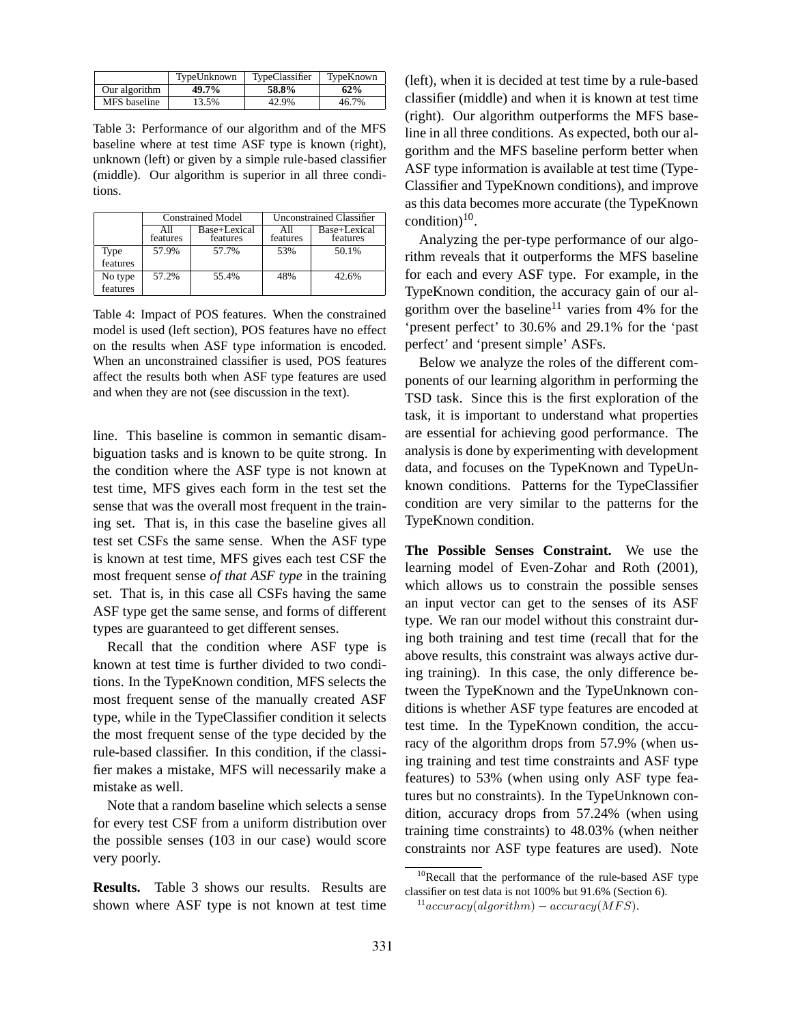|               | TypeUnknown | TypeClassifier | TypeKnown |
|---------------|-------------|----------------|-----------|
| Our algorithm | 49.7%       | 58.8%          | 62%       |
| MFS baseline  | 13.5%       | 42.9%          | 46.7%     |

Table 3: Performance of our algorithm and of the MFS baseline where at test time ASF type is known (right), unknown (left) or given by a simple rule-based classifier (middle). Our algorithm is superior in all three conditions.

|          |                 | <b>Constrained Model</b> | Unconstrained Classifier |                          |
|----------|-----------------|--------------------------|--------------------------|--------------------------|
|          | All<br>features | Base+Lexical<br>features | All<br>features          | Base+Lexical<br>features |
| Type     | 57.9%           | 57.7%                    | 53%                      | 50.1%                    |
| features |                 |                          |                          |                          |
| No type  | 57.2%           | 55.4%                    | 48%                      | 42.6%                    |
| features |                 |                          |                          |                          |

Table 4: Impact of POS features. When the constrained model is used (left section), POS features have no effect on the results when ASF type information is encoded. When an unconstrained classifier is used, POS features affect the results both when ASF type features are used and when they are not (see discussion in the text).

line. This baseline is common in semantic disambiguation tasks and is known to be quite strong. In the condition where the ASF type is not known at test time, MFS gives each form in the test set the sense that was the overall most frequent in the training set. That is, in this case the baseline gives all test set CSFs the same sense. When the ASF type is known at test time, MFS gives each test CSF the most frequent sense *of that ASF type* in the training set. That is, in this case all CSFs having the same ASF type get the same sense, and forms of different types are guaranteed to get different senses.

Recall that the condition where ASF type is known at test time is further divided to two conditions. In the TypeKnown condition, MFS selects the most frequent sense of the manually created ASF type, while in the TypeClassifier condition it selects the most frequent sense of the type decided by the rule-based classifier. In this condition, if the classifier makes a mistake, MFS will necessarily make a mistake as well.

Note that a random baseline which selects a sense for every test CSF from a uniform distribution over the possible senses (103 in our case) would score very poorly.

**Results.** Table 3 shows our results. Results are shown where ASF type is not known at test time

(left), when it is decided at test time by a rule-based classifier (middle) and when it is known at test time (right). Our algorithm outperforms the MFS baseline in all three conditions. As expected, both our algorithm and the MFS baseline perform better when ASF type information is available at test time (Type-Classifier and TypeKnown conditions), and improve as this data becomes more accurate (the TypeKnown condition) $10$ .

Analyzing the per-type performance of our algorithm reveals that it outperforms the MFS baseline for each and every ASF type. For example, in the TypeKnown condition, the accuracy gain of our algorithm over the baseline<sup>11</sup> varies from 4% for the 'present perfect' to 30.6% and 29.1% for the 'past perfect' and 'present simple' ASFs.

Below we analyze the roles of the different components of our learning algorithm in performing the TSD task. Since this is the first exploration of the task, it is important to understand what properties are essential for achieving good performance. The analysis is done by experimenting with development data, and focuses on the TypeKnown and TypeUnknown conditions. Patterns for the TypeClassifier condition are very similar to the patterns for the TypeKnown condition.

**The Possible Senses Constraint.** We use the learning model of Even-Zohar and Roth (2001), which allows us to constrain the possible senses an input vector can get to the senses of its ASF type. We ran our model without this constraint during both training and test time (recall that for the above results, this constraint was always active during training). In this case, the only difference between the TypeKnown and the TypeUnknown conditions is whether ASF type features are encoded at test time. In the TypeKnown condition, the accuracy of the algorithm drops from 57.9% (when using training and test time constraints and ASF type features) to 53% (when using only ASF type features but no constraints). In the TypeUnknown condition, accuracy drops from 57.24% (when using training time constraints) to 48.03% (when neither constraints nor ASF type features are used). Note

<sup>&</sup>lt;sup>10</sup>Recall that the performance of the rule-based ASF type classifier on test data is not 100% but 91.6% (Section 6).

 $11$ <sub>accuracy</sub>(algorithm) – accuracy(MFS).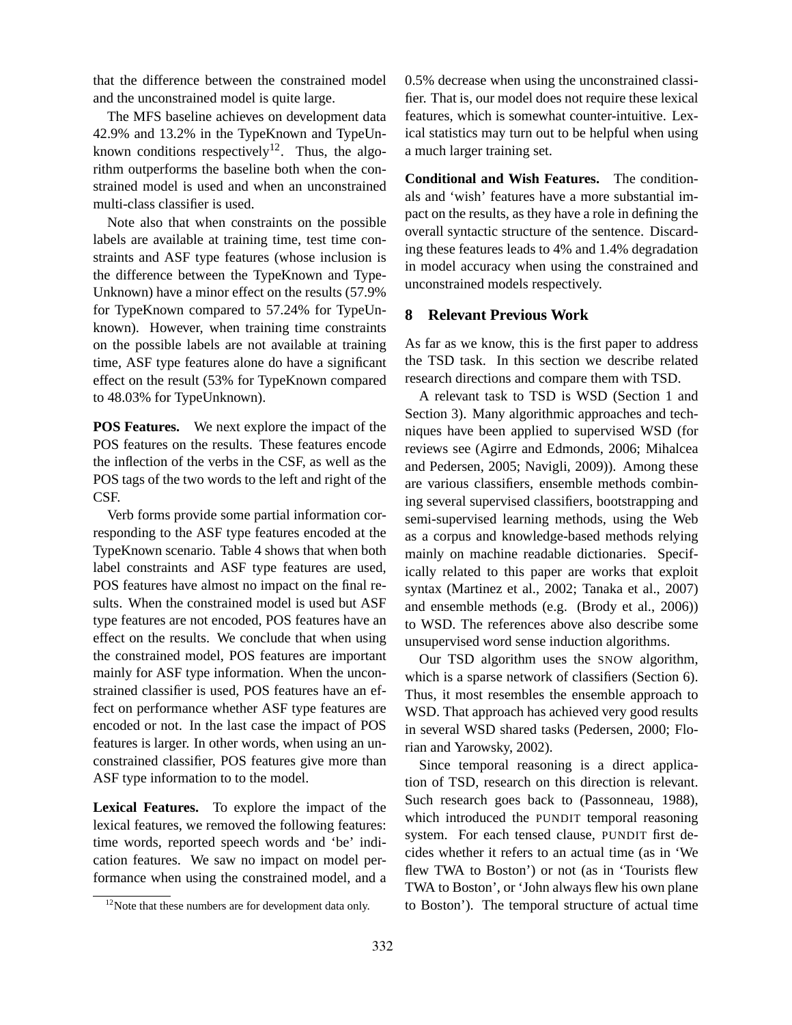that the difference between the constrained model and the unconstrained model is quite large.

The MFS baseline achieves on development data 42.9% and 13.2% in the TypeKnown and TypeUnknown conditions respectively<sup>12</sup>. Thus, the algorithm outperforms the baseline both when the constrained model is used and when an unconstrained multi-class classifier is used.

Note also that when constraints on the possible labels are available at training time, test time constraints and ASF type features (whose inclusion is the difference between the TypeKnown and Type-Unknown) have a minor effect on the results (57.9% for TypeKnown compared to 57.24% for TypeUnknown). However, when training time constraints on the possible labels are not available at training time, ASF type features alone do have a significant effect on the result (53% for TypeKnown compared to 48.03% for TypeUnknown).

**POS Features.** We next explore the impact of the POS features on the results. These features encode the inflection of the verbs in the CSF, as well as the POS tags of the two words to the left and right of the CSF.

Verb forms provide some partial information corresponding to the ASF type features encoded at the TypeKnown scenario. Table 4 shows that when both label constraints and ASF type features are used, POS features have almost no impact on the final results. When the constrained model is used but ASF type features are not encoded, POS features have an effect on the results. We conclude that when using the constrained model, POS features are important mainly for ASF type information. When the unconstrained classifier is used, POS features have an effect on performance whether ASF type features are encoded or not. In the last case the impact of POS features is larger. In other words, when using an unconstrained classifier, POS features give more than ASF type information to to the model.

**Lexical Features.** To explore the impact of the lexical features, we removed the following features: time words, reported speech words and 'be' indication features. We saw no impact on model performance when using the constrained model, and a 0.5% decrease when using the unconstrained classifier. That is, our model does not require these lexical features, which is somewhat counter-intuitive. Lexical statistics may turn out to be helpful when using a much larger training set.

**Conditional and Wish Features.** The conditionals and 'wish' features have a more substantial impact on the results, as they have a role in defining the overall syntactic structure of the sentence. Discarding these features leads to 4% and 1.4% degradation in model accuracy when using the constrained and unconstrained models respectively.

# **8 Relevant Previous Work**

As far as we know, this is the first paper to address the TSD task. In this section we describe related research directions and compare them with TSD.

A relevant task to TSD is WSD (Section 1 and Section 3). Many algorithmic approaches and techniques have been applied to supervised WSD (for reviews see (Agirre and Edmonds, 2006; Mihalcea and Pedersen, 2005; Navigli, 2009)). Among these are various classifiers, ensemble methods combining several supervised classifiers, bootstrapping and semi-supervised learning methods, using the Web as a corpus and knowledge-based methods relying mainly on machine readable dictionaries. Specifically related to this paper are works that exploit syntax (Martinez et al., 2002; Tanaka et al., 2007) and ensemble methods (e.g. (Brody et al., 2006)) to WSD. The references above also describe some unsupervised word sense induction algorithms.

Our TSD algorithm uses the SNOW algorithm, which is a sparse network of classifiers (Section 6). Thus, it most resembles the ensemble approach to WSD. That approach has achieved very good results in several WSD shared tasks (Pedersen, 2000; Florian and Yarowsky, 2002).

Since temporal reasoning is a direct application of TSD, research on this direction is relevant. Such research goes back to (Passonneau, 1988), which introduced the PUNDIT temporal reasoning system. For each tensed clause, PUNDIT first decides whether it refers to an actual time (as in 'We flew TWA to Boston') or not (as in 'Tourists flew TWA to Boston', or 'John always flew his own plane to Boston'). The temporal structure of actual time

 $12$ Note that these numbers are for development data only.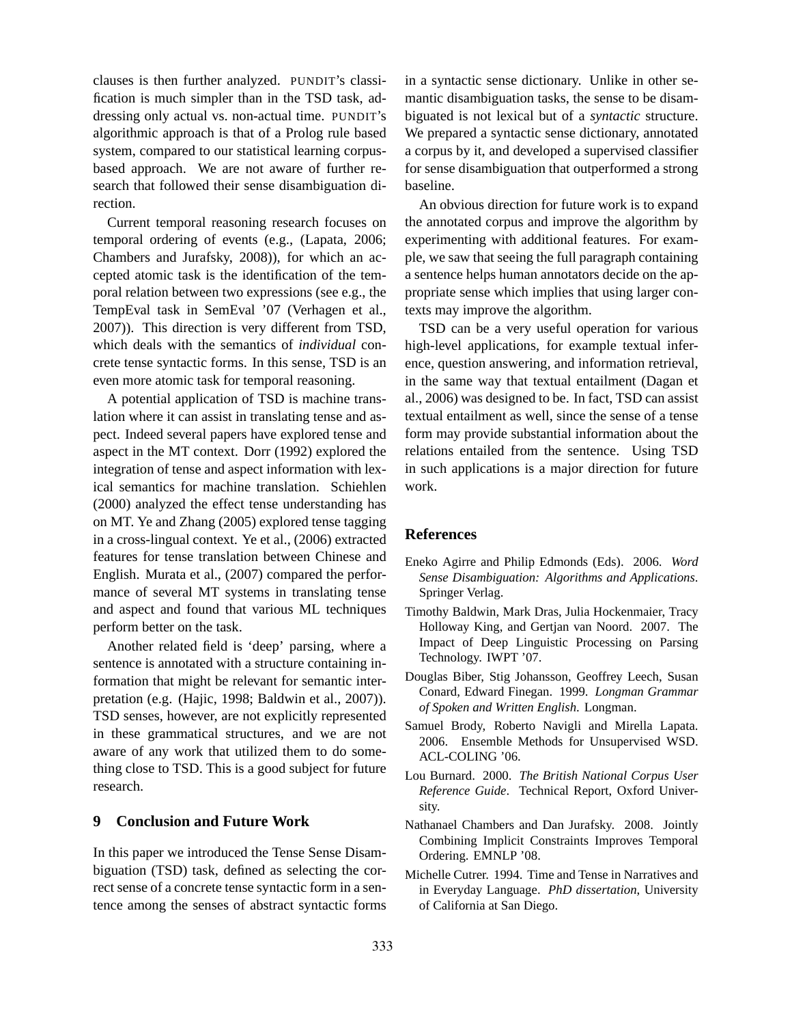clauses is then further analyzed. PUNDIT's classification is much simpler than in the TSD task, addressing only actual vs. non-actual time. PUNDIT's algorithmic approach is that of a Prolog rule based system, compared to our statistical learning corpusbased approach. We are not aware of further research that followed their sense disambiguation direction.

Current temporal reasoning research focuses on temporal ordering of events (e.g., (Lapata, 2006; Chambers and Jurafsky, 2008)), for which an accepted atomic task is the identification of the temporal relation between two expressions (see e.g., the TempEval task in SemEval '07 (Verhagen et al., 2007)). This direction is very different from TSD, which deals with the semantics of *individual* concrete tense syntactic forms. In this sense, TSD is an even more atomic task for temporal reasoning.

A potential application of TSD is machine translation where it can assist in translating tense and aspect. Indeed several papers have explored tense and aspect in the MT context. Dorr (1992) explored the integration of tense and aspect information with lexical semantics for machine translation. Schiehlen (2000) analyzed the effect tense understanding has on MT. Ye and Zhang (2005) explored tense tagging in a cross-lingual context. Ye et al., (2006) extracted features for tense translation between Chinese and English. Murata et al., (2007) compared the performance of several MT systems in translating tense and aspect and found that various ML techniques perform better on the task.

Another related field is 'deep' parsing, where a sentence is annotated with a structure containing information that might be relevant for semantic interpretation (e.g. (Hajic, 1998; Baldwin et al., 2007)). TSD senses, however, are not explicitly represented in these grammatical structures, and we are not aware of any work that utilized them to do something close to TSD. This is a good subject for future research.

# **9 Conclusion and Future Work**

In this paper we introduced the Tense Sense Disambiguation (TSD) task, defined as selecting the correct sense of a concrete tense syntactic form in a sentence among the senses of abstract syntactic forms in a syntactic sense dictionary. Unlike in other semantic disambiguation tasks, the sense to be disambiguated is not lexical but of a *syntactic* structure. We prepared a syntactic sense dictionary, annotated a corpus by it, and developed a supervised classifier for sense disambiguation that outperformed a strong baseline.

An obvious direction for future work is to expand the annotated corpus and improve the algorithm by experimenting with additional features. For example, we saw that seeing the full paragraph containing a sentence helps human annotators decide on the appropriate sense which implies that using larger contexts may improve the algorithm.

TSD can be a very useful operation for various high-level applications, for example textual inference, question answering, and information retrieval, in the same way that textual entailment (Dagan et al., 2006) was designed to be. In fact, TSD can assist textual entailment as well, since the sense of a tense form may provide substantial information about the relations entailed from the sentence. Using TSD in such applications is a major direction for future work.

### **References**

- Eneko Agirre and Philip Edmonds (Eds). 2006. *Word Sense Disambiguation: Algorithms and Applications*. Springer Verlag.
- Timothy Baldwin, Mark Dras, Julia Hockenmaier, Tracy Holloway King, and Gertjan van Noord. 2007. The Impact of Deep Linguistic Processing on Parsing Technology. IWPT '07.
- Douglas Biber, Stig Johansson, Geoffrey Leech, Susan Conard, Edward Finegan. 1999. *Longman Grammar of Spoken and Written English*. Longman.
- Samuel Brody, Roberto Navigli and Mirella Lapata. 2006. Ensemble Methods for Unsupervised WSD. ACL-COLING '06.
- Lou Burnard. 2000. *The British National Corpus User Reference Guide*. Technical Report, Oxford University.
- Nathanael Chambers and Dan Jurafsky. 2008. Jointly Combining Implicit Constraints Improves Temporal Ordering. EMNLP '08.
- Michelle Cutrer. 1994. Time and Tense in Narratives and in Everyday Language. *PhD dissertation*, University of California at San Diego.